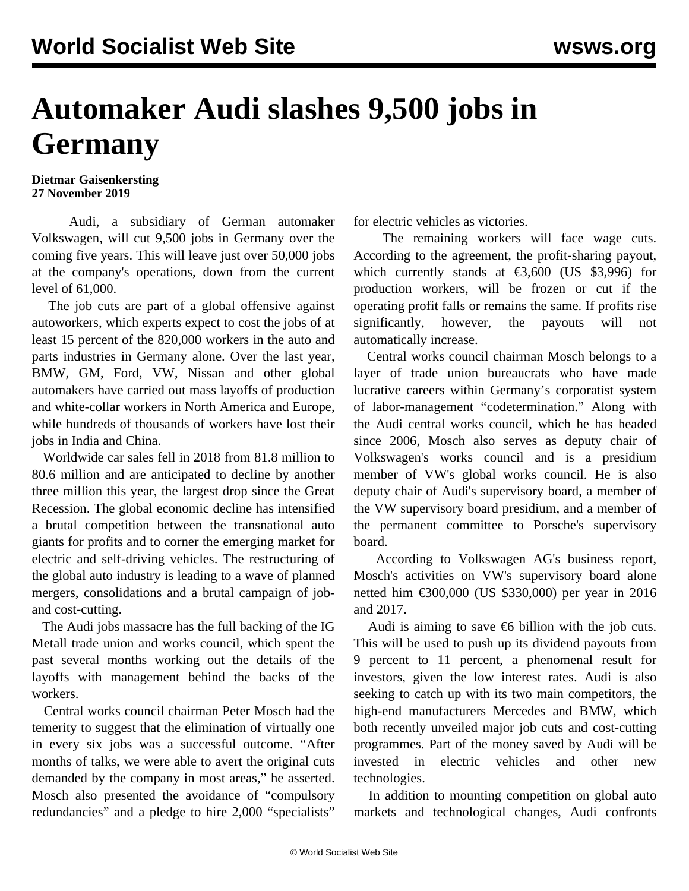## **Automaker Audi slashes 9,500 jobs in Germany**

**Dietmar Gaisenkersting 27 November 2019**

 Audi, a subsidiary of German automaker Volkswagen, will cut 9,500 jobs in Germany over the coming five years. This will leave just over 50,000 jobs at the company's operations, down from the current level of 61,000.

 The job cuts are part of a global offensive against autoworkers, which experts expect to cost the jobs of at least 15 percent of the 820,000 workers in the auto and parts industries in Germany alone. Over the last year, BMW, GM, Ford, VW, Nissan and other global automakers have carried out mass layoffs of production and white-collar workers in North America and Europe, while hundreds of thousands of workers have lost their jobs in India and China.

 Worldwide car sales fell in 2018 from 81.8 million to 80.6 million and are anticipated to decline by another three million this year, the largest drop since the Great Recession. The global economic decline has intensified a brutal competition between the transnational auto giants for profits and to corner the emerging market for electric and self-driving vehicles. The restructuring of the global auto industry is leading to a wave of planned mergers, consolidations and a brutal campaign of joband cost-cutting.

 The Audi jobs massacre has the full backing of the IG Metall trade union and works council, which spent the past several months working out the details of the layoffs with management behind the backs of the workers.

 Central works council chairman Peter Mosch had the temerity to suggest that the elimination of virtually one in every six jobs was a successful outcome. "After months of talks, we were able to avert the original cuts demanded by the company in most areas," he asserted. Mosch also presented the avoidance of "compulsory redundancies" and a pledge to hire 2,000 "specialists"

for electric vehicles as victories.

 The remaining workers will face wage cuts. According to the agreement, the profit-sharing payout, which currently stands at  $\epsilon$ 3,600 (US \$3,996) for production workers, will be frozen or cut if the operating profit falls or remains the same. If profits rise significantly, however, the payouts will not automatically increase.

 Central works council chairman Mosch belongs to a layer of trade union bureaucrats who have made lucrative careers within Germany's corporatist system of labor-management "codetermination." Along with the Audi central works council, which he has headed since 2006, Mosch also serves as deputy chair of Volkswagen's works council and is a presidium member of VW's global works council. He is also deputy chair of Audi's supervisory board, a member of the VW supervisory board presidium, and a member of the permanent committee to Porsche's supervisory board.

 According to Volkswagen AG's business report, Mosch's activities on VW's supervisory board alone netted him €300,000 (US \$330,000) per year in 2016 and 2017.

Audi is aiming to save  $\epsilon$ 6 billion with the job cuts. This will be used to push up its dividend payouts from 9 percent to 11 percent, a phenomenal result for investors, given the low interest rates. Audi is also seeking to catch up with its two main competitors, the high-end manufacturers Mercedes and BMW, which both recently unveiled major job cuts and cost-cutting programmes. Part of the money saved by Audi will be invested in electric vehicles and other new technologies.

 In addition to mounting competition on global auto markets and technological changes, Audi confronts